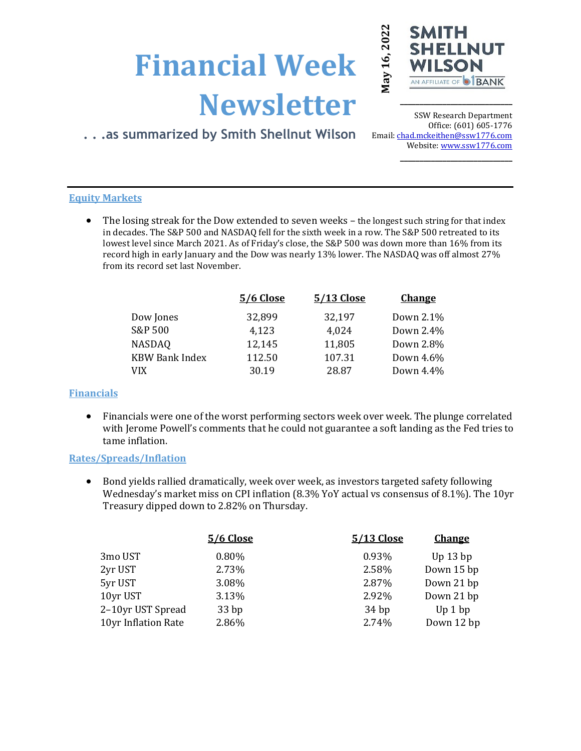# **Financial Week Newsletter**



**\_\_\_\_\_\_\_\_\_\_\_\_\_\_\_\_\_\_\_\_\_\_\_\_\_\_\_\_\_**

# **. . .as summarized by Smith Shellnut Wilson**

SSW Research Department Office: (601) 605-1776 Email: chad.mckeithen@ssw1776.com Website[: www.ssw1776.com](http://www.ssw1776.com/) **\_\_\_\_\_\_\_\_\_\_\_\_\_\_\_\_\_\_\_\_\_\_\_\_\_\_\_\_\_**

# **Equity Markets**

• The losing streak for the Dow extended to seven weeks – the longest such string for that index in decades. The S&P 500 and NASDAQ fell for the sixth week in a row. The S&P 500 retreated to its lowest level since March 2021. As of Friday's close, the S&P 500 was down more than 16% from its record high in early January and the Dow was nearly 13% lower. The NASDAQ was off almost 27% from its record set last November.

| <b>5/6 Close</b> | 5/13 Close | <b>Change</b> |
|------------------|------------|---------------|
| 32,899           | 32,197     | Down 2.1%     |
| 4,123            | 4,024      | Down 2.4%     |
| 12,145           | 11,805     | Down 2.8%     |
| 112.50           | 107.31     | Down 4.6%     |
| 30.19            | 28.87      | Down 4.4%     |
|                  |            |               |

# **Financials**

• Financials were one of the worst performing sectors week over week. The plunge correlated with Jerome Powell's comments that he could not guarantee a soft landing as the Fed tries to tame inflation.

# **Rates/Spreads/Inflation**

• Bond yields rallied dramatically, week over week, as investors targeted safety following Wednesday's market miss on CPI inflation (8.3% YoY actual vs consensus of 8.1%). The 10yr Treasury dipped down to 2.82% on Thursday.

|                     | <b>5/6 Close</b> | 5/13 Close | <b>Change</b> |
|---------------------|------------------|------------|---------------|
| 3mo UST             | 0.80%            | 0.93%      | Up $13$ bp    |
| 2yr UST             | 2.73%            | 2.58%      | Down 15 bp    |
| 5yr UST             | 3.08%            | 2.87%      | Down 21 bp    |
| 10yr UST            | 3.13%            | 2.92%      | Down 21 bp    |
| 2-10yr UST Spread   | 33bp             | 34bp       | Up 1 bp       |
| 10yr Inflation Rate | 2.86%            | 2.74%      | Down 12 bp    |